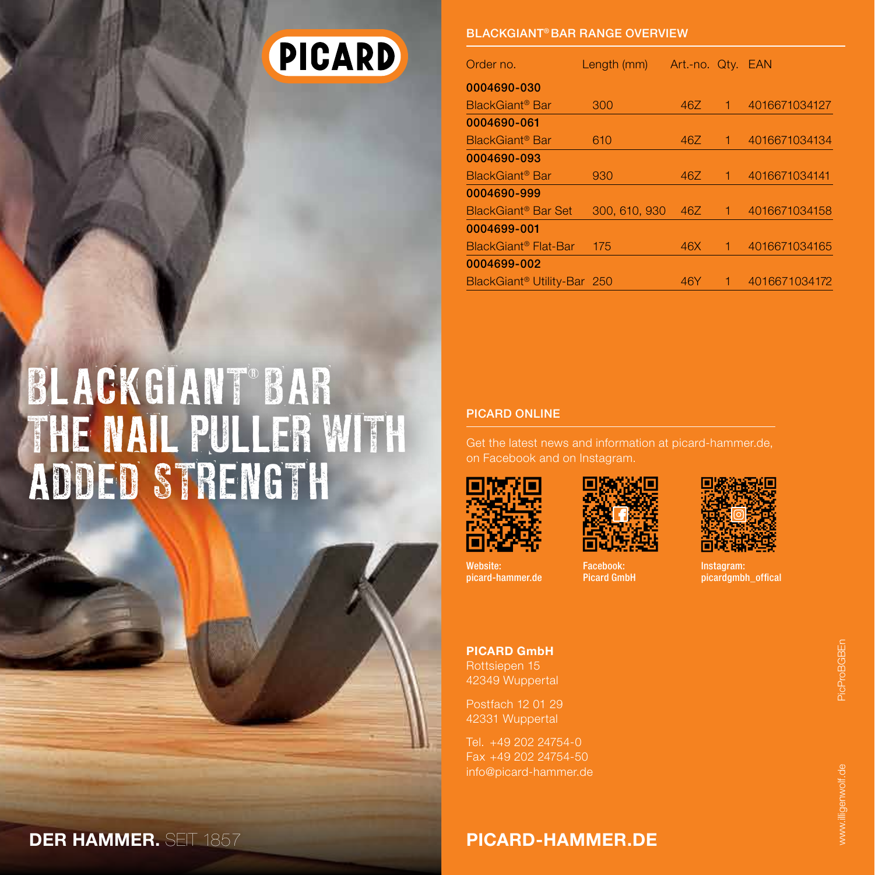# PICARD

#### BlackGiant® bar Range overview

| Order no.                               | Length (mm)   | Art.-no. Qty. EAN |   |               |
|-----------------------------------------|---------------|-------------------|---|---------------|
| 0004690-030                             |               |                   |   |               |
| BlackGiant <sup>®</sup> Bar             | 300           | 46Z               |   | 4016671034127 |
| 0004690-061                             |               |                   |   |               |
| BlackGiant <sup>®</sup> Bar             | 610           | 46Z               | 1 | 4016671034134 |
| 0004690-093                             |               |                   |   |               |
| BlackGiant <sup>®</sup> Bar             | 930           | 46Z               |   | 4016671034141 |
| 0004690-999                             |               |                   |   |               |
| BlackGiant <sup>®</sup> Bar Set         | 300, 610, 930 | 46Z               | 1 | 4016671034158 |
| 0004699-001                             |               |                   |   |               |
| BlackGiant <sup>®</sup> Flat-Bar        | 175           | 46X               |   | 4016671034165 |
| 0004699-002                             |               |                   |   |               |
| BlackGiant <sup>®</sup> Utility-Bar 250 |               | 46Y               |   | 4016671034172 |

#### PICARD ONLINE

Get the latest news and information at picard-hammer.de, on Facebook and on Instagram.



Website: picard-hammer.de

Facebook: Picard GmbH



Instagram: picardgmbh\_offical

PICARD GmbH Rottsiepen 15 42349 Wuppertal

Postfach 12 01 29 42331 Wuppertal

Tel. +49 202 24754-0 Fax +49 202 24754-50 info@picard-hammer.de

PicProBGBEn

DER HAMMER. SEIT 1857 PICARD-HAMMER.DE

BLACKGIANT BA

added strength

the nail puller with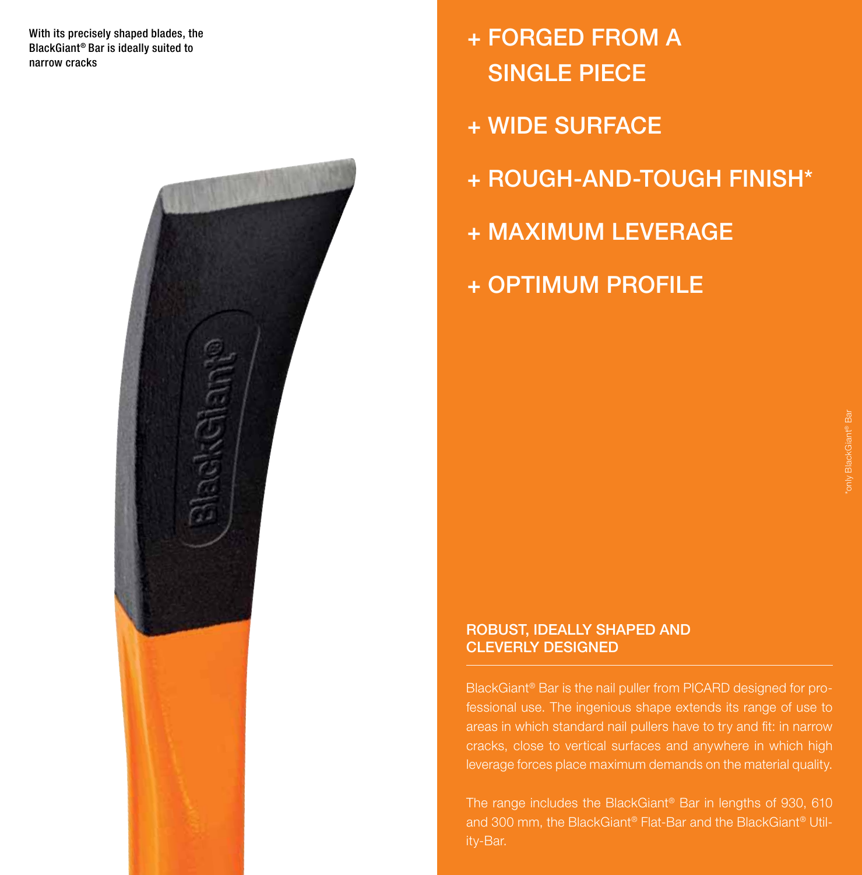With its precisely shaped blades, the BlackGiant® Bar is ideally suited to narrow cracks



- + Forged from a single piece
- + Wide surface
- + Rough-and-tough finish\*
- + Maximum leverage
- + Optimum profile

#### Robust, ideally shaped and cleverly designed

BlackGiant® Bar is the nail puller from PICARD designed for professional use. The ingenious shape extends its range of use to areas in which standard nail pullers have to try and fit: in narrow cracks, close to vertical surfaces and anywhere in which high leverage forces place maximum demands on the material quality.

The range includes the BlackGiant® Bar in lengths of 930, 610 and 300 mm, the BlackGiant® Flat-Bar and the BlackGiant® Utility-Bar.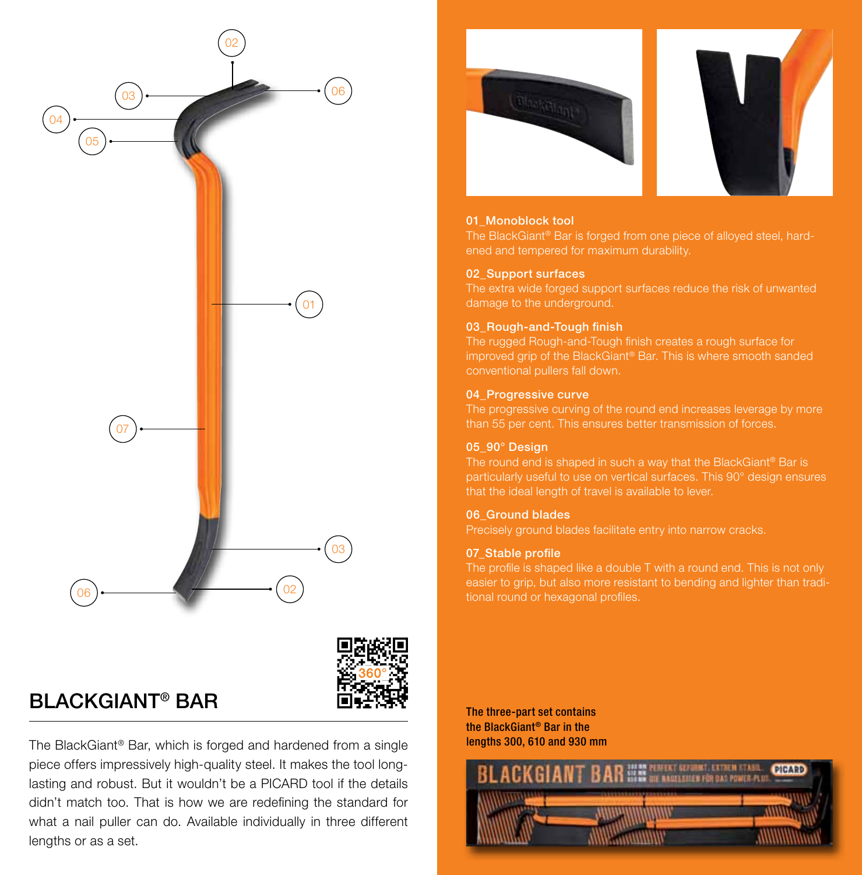



### $\mathsf{BLACKGIANT}^\circ$   $\mathsf{BAR}$  The three-part set contains

The BlackGiant® Bar, which is forged and hardened from a single piece offers impressively high-quality steel. It makes the tool longlasting and robust. But it wouldn't be a PICARD tool if the details didn't match too. That is how we are redefining the standard for what a nail puller can do. Available individually in three different lengths or as a set.





#### 01\_Monoblock tool

The BlackGiant® Bar is forged from one piece of alloyed steel, hardened and tempered for maximum durability.

#### 02\_Support surfaces

The extra wide forged support surfaces reduce the risk of unwanted damage to the underground.

#### 03 Rough-and-Tough finish

The rugged Rough-and-Tough finish creates a rough surface for improved grip of the BlackGiant® Bar. This is where smooth sanded conventional pullers fall down.

#### 04\_Progressive curve

The progressive curving of the round end increases leverage by more than 55 per cent. This ensures better transmission of forces.

#### 05\_90° Design

The round end is shaped in such a way that the BlackGiant® Bar is particularly useful to use on vertical surfaces. This 90° design ensures that the ideal length of travel is available to lever.

#### 06\_Ground blades

Precisely ground blades facilitate entry into narrow cracks.

#### 07\_Stable profile

The profile is shaped like a double T with a round end. This is not only easier to grip, but also more resistant to bending and lighter than traditional round or hexagonal profiles.

the BlackGiant® Bar in the lengths 300, 610 and 930 mm

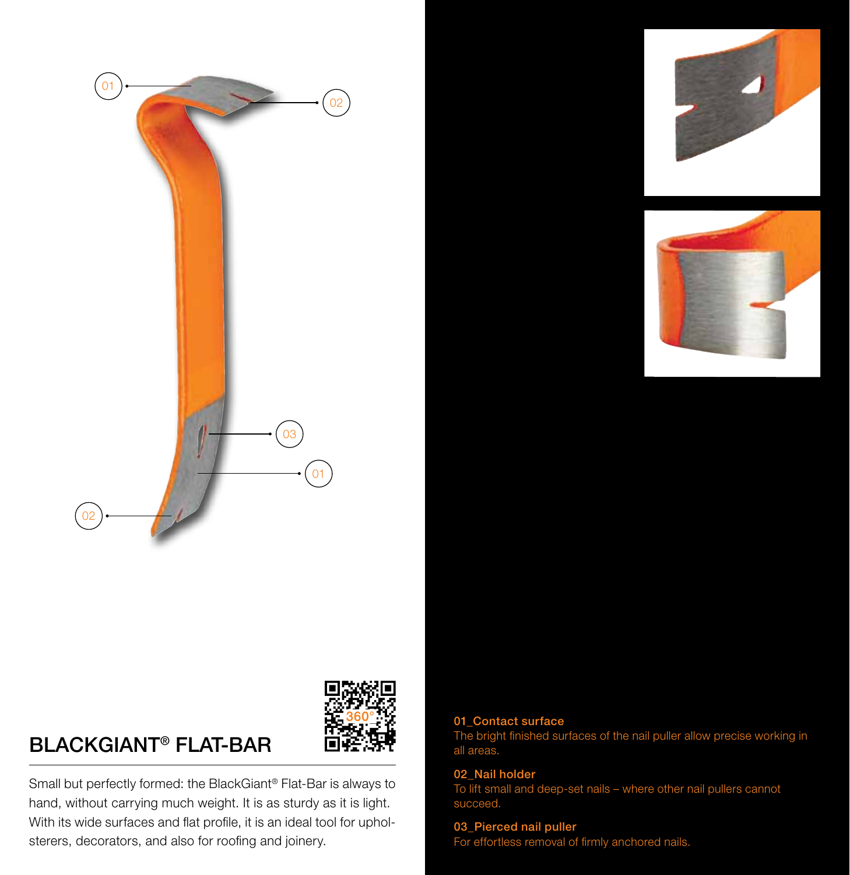







### BlackGiant® flat-baR

Small but perfectly formed: the BlackGiant® Flat-Bar is always to hand, without carrying much weight. It is as sturdy as it is light. With its wide surfaces and flat profile, it is an ideal tool for upholsterers, decorators, and also for roofing and joinery.

### 01\_Contact surface

The bright finished surfaces of the nail puller allow precise working in all areas.

#### 02\_Nail holder

To lift small and deep-set nails – where other nail pullers cannot succeed.

#### 03\_Pierced nail puller For effortless removal of firmly anchored nails.